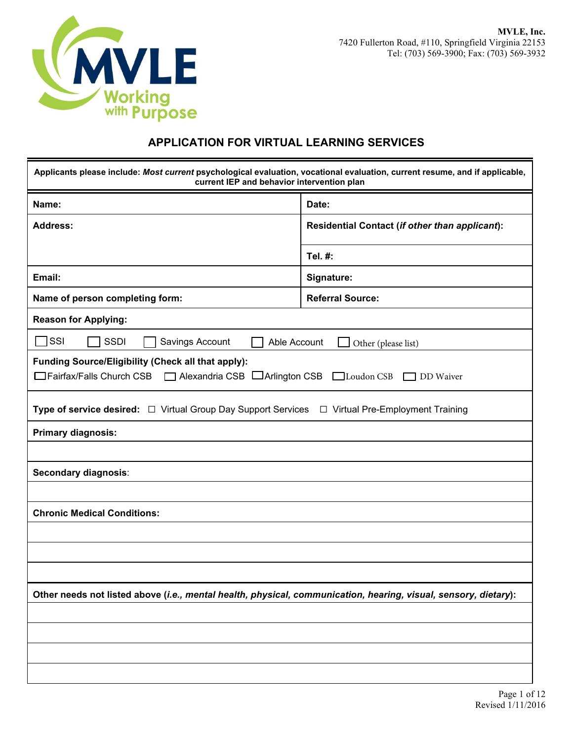

## **APPLICATION FOR VIRTUAL LEARNING SERVICES**

| Applicants please include: Most current psychological evaluation, vocational evaluation, current resume, and if applicable,<br>current IEP and behavior intervention plan |                                                |  |
|---------------------------------------------------------------------------------------------------------------------------------------------------------------------------|------------------------------------------------|--|
| Name:                                                                                                                                                                     | Date:                                          |  |
| <b>Address:</b>                                                                                                                                                           | Residential Contact (if other than applicant): |  |
|                                                                                                                                                                           | Tel. #:                                        |  |
| Email:                                                                                                                                                                    | Signature:                                     |  |
| Name of person completing form:                                                                                                                                           | <b>Referral Source:</b>                        |  |
| <b>Reason for Applying:</b>                                                                                                                                               |                                                |  |
| SSI<br><b>SSDI</b><br>Savings Account<br>Able Account                                                                                                                     | Other (please list)                            |  |
| Funding Source/Eligibility (Check all that apply):<br>□ Fairfax/Falls Church CSB □ Alexandria CSB<br>Arlington CSB_                                                       | Loudon CSB DD Waiver                           |  |
| Type of service desired: □ Virtual Group Day Support Services □ Virtual Pre-Employment Training                                                                           |                                                |  |
| <b>Primary diagnosis:</b>                                                                                                                                                 |                                                |  |
|                                                                                                                                                                           |                                                |  |
| Secondary diagnosis:                                                                                                                                                      |                                                |  |
|                                                                                                                                                                           |                                                |  |
| <b>Chronic Medical Conditions:</b>                                                                                                                                        |                                                |  |
|                                                                                                                                                                           |                                                |  |
|                                                                                                                                                                           |                                                |  |
|                                                                                                                                                                           |                                                |  |
| Other needs not listed above (i.e., mental health, physical, communication, hearing, visual, sensory, dietary):                                                           |                                                |  |
|                                                                                                                                                                           |                                                |  |
|                                                                                                                                                                           |                                                |  |
|                                                                                                                                                                           |                                                |  |
|                                                                                                                                                                           |                                                |  |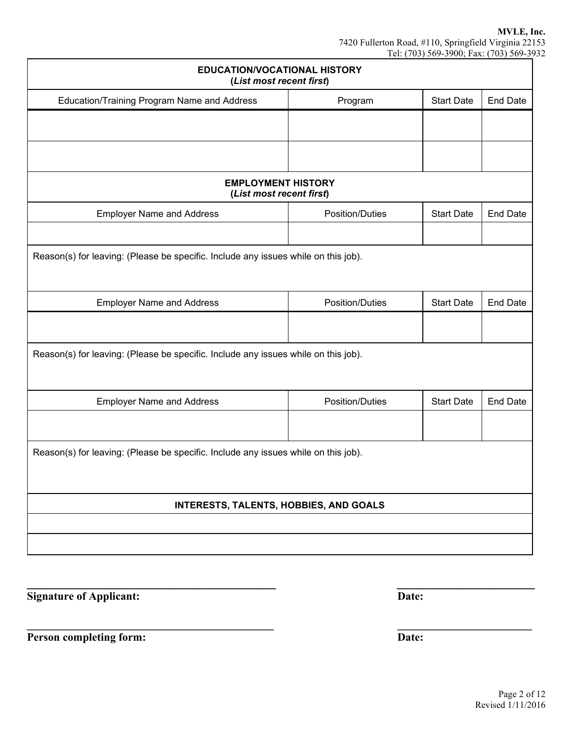| <b>EDUCATION/VOCATIONAL HISTORY</b><br>(List most recent first)                    |                        |                   |                 |
|------------------------------------------------------------------------------------|------------------------|-------------------|-----------------|
| Education/Training Program Name and Address                                        | Program                | <b>Start Date</b> | <b>End Date</b> |
|                                                                                    |                        |                   |                 |
|                                                                                    |                        |                   |                 |
| <b>EMPLOYMENT HISTORY</b><br>(List most recent first)                              |                        |                   |                 |
| <b>Employer Name and Address</b>                                                   | <b>Position/Duties</b> | <b>Start Date</b> | <b>End Date</b> |
|                                                                                    |                        |                   |                 |
| Reason(s) for leaving: (Please be specific. Include any issues while on this job). |                        |                   |                 |
| <b>Employer Name and Address</b>                                                   | <b>Position/Duties</b> | <b>Start Date</b> | <b>End Date</b> |
|                                                                                    |                        |                   |                 |
| Reason(s) for leaving: (Please be specific. Include any issues while on this job). |                        |                   |                 |
| <b>Employer Name and Address</b>                                                   | Position/Duties        | <b>Start Date</b> | <b>End Date</b> |
|                                                                                    |                        |                   |                 |
| Reason(s) for leaving: (Please be specific. Include any issues while on this job). |                        |                   |                 |
| <b>INTERESTS, TALENTS, HOBBIES, AND GOALS</b>                                      |                        |                   |                 |
|                                                                                    |                        |                   |                 |
|                                                                                    |                        |                   |                 |

**\_\_\_\_\_\_\_\_\_\_\_\_\_\_\_\_\_\_\_\_\_\_\_\_\_\_\_\_\_\_\_\_\_\_\_\_\_\_ \_\_\_\_\_\_\_\_\_\_\_\_\_\_\_\_\_\_\_\_\_**

**\_\_\_\_\_\_\_\_\_\_\_\_\_\_\_\_\_\_\_\_\_\_\_\_\_\_\_\_\_\_\_\_\_\_\_\_\_\_\_\_\_\_\_\_ \_\_\_\_\_\_\_\_\_\_\_\_\_\_\_\_\_\_\_\_\_\_\_\_** 

**Signature of Applicant:** Date:

**Person completing form:** Date: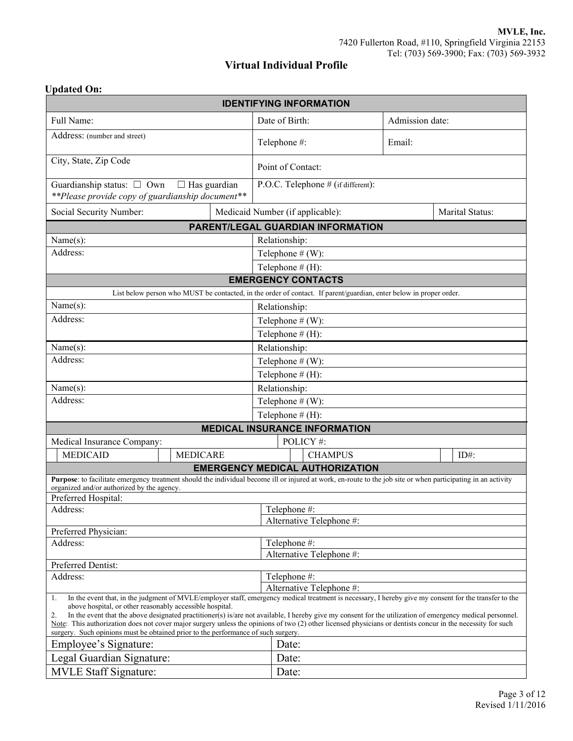## **Virtual Individual Profile**

### **Updated On:**

| <b>IDENTIFYING INFORMATION</b>                                                                                                                                                                                                                   |                     |  |                                                                                                                    |                 |                 |
|--------------------------------------------------------------------------------------------------------------------------------------------------------------------------------------------------------------------------------------------------|---------------------|--|--------------------------------------------------------------------------------------------------------------------|-----------------|-----------------|
| Full Name:                                                                                                                                                                                                                                       |                     |  | Date of Birth:                                                                                                     | Admission date: |                 |
| Address: (number and street)                                                                                                                                                                                                                     |                     |  | Telephone #:                                                                                                       | Email:          |                 |
| City, State, Zip Code                                                                                                                                                                                                                            |                     |  | Point of Contact:                                                                                                  |                 |                 |
| Guardianship status: □ Own<br>**Please provide copy of guardianship document**                                                                                                                                                                   | $\Box$ Has guardian |  | P.O.C. Telephone # (if different):                                                                                 |                 |                 |
| Social Security Number:                                                                                                                                                                                                                          |                     |  | Medicaid Number (if applicable):                                                                                   |                 | Marital Status: |
|                                                                                                                                                                                                                                                  |                     |  | PARENT/LEGAL GUARDIAN INFORMATION                                                                                  |                 |                 |
| Name(s):                                                                                                                                                                                                                                         |                     |  | Relationship:                                                                                                      |                 |                 |
| Address:                                                                                                                                                                                                                                         |                     |  | Telephone $# (W)$ :                                                                                                |                 |                 |
|                                                                                                                                                                                                                                                  |                     |  | Telephone $# (H)$ :                                                                                                |                 |                 |
|                                                                                                                                                                                                                                                  |                     |  | <b>EMERGENCY CONTACTS</b>                                                                                          |                 |                 |
|                                                                                                                                                                                                                                                  |                     |  | List below person who MUST be contacted, in the order of contact. If parent/guardian, enter below in proper order. |                 |                 |
| Name(s):                                                                                                                                                                                                                                         |                     |  | Relationship:                                                                                                      |                 |                 |
| Address:                                                                                                                                                                                                                                         |                     |  | Telephone $# (W)$ :                                                                                                |                 |                 |
|                                                                                                                                                                                                                                                  |                     |  | Telephone $# (H)$ :                                                                                                |                 |                 |
| Name(s):                                                                                                                                                                                                                                         |                     |  | Relationship:                                                                                                      |                 |                 |
| Address:                                                                                                                                                                                                                                         |                     |  | Telephone $# (W)$ :                                                                                                |                 |                 |
|                                                                                                                                                                                                                                                  |                     |  | Telephone $# (H)$ :                                                                                                |                 |                 |
| Name(s):                                                                                                                                                                                                                                         |                     |  | Relationship:                                                                                                      |                 |                 |
| Address:                                                                                                                                                                                                                                         |                     |  | Telephone $# (W)$ :                                                                                                |                 |                 |
|                                                                                                                                                                                                                                                  |                     |  | Telephone $# (H)$ :                                                                                                |                 |                 |
|                                                                                                                                                                                                                                                  |                     |  | <b>MEDICAL INSURANCE INFORMATION</b>                                                                               |                 |                 |
| Medical Insurance Company:                                                                                                                                                                                                                       |                     |  | POLICY #:                                                                                                          |                 |                 |
| <b>MEDICAID</b><br><b>MEDICARE</b>                                                                                                                                                                                                               |                     |  | <b>CHAMPUS</b>                                                                                                     |                 | $ID#$ :         |
|                                                                                                                                                                                                                                                  |                     |  | <b>EMERGENCY MEDICAL AUTHORIZATION</b>                                                                             |                 |                 |
| Purpose: to facilitate emergency treatment should the individual become ill or injured at work, en-route to the job site or when participating in an activity<br>organized and/or authorized by the agency.                                      |                     |  |                                                                                                                    |                 |                 |
| Preferred Hospital:                                                                                                                                                                                                                              |                     |  |                                                                                                                    |                 |                 |
| Address:                                                                                                                                                                                                                                         |                     |  | Telephone #:                                                                                                       |                 |                 |
|                                                                                                                                                                                                                                                  |                     |  | Alternative Telephone #:                                                                                           |                 |                 |
| Preferred Physician:                                                                                                                                                                                                                             |                     |  |                                                                                                                    |                 |                 |
| Telephone #:<br>Address:<br>Alternative Telephone #:                                                                                                                                                                                             |                     |  |                                                                                                                    |                 |                 |
| Preferred Dentist:                                                                                                                                                                                                                               |                     |  |                                                                                                                    |                 |                 |
| Address:<br>Telephone #:                                                                                                                                                                                                                         |                     |  |                                                                                                                    |                 |                 |
| Alternative Telephone #:<br>In the event that, in the judgment of MVLE/employer staff, emergency medical treatment is necessary, I hereby give my consent for the transfer to the                                                                |                     |  |                                                                                                                    |                 |                 |
| 1.<br>above hospital, or other reasonably accessible hospital.                                                                                                                                                                                   |                     |  |                                                                                                                    |                 |                 |
| In the event that the above designated practitioner(s) is/are not available, I hereby give my consent for the utilization of emergency medical personnel.<br>2.                                                                                  |                     |  |                                                                                                                    |                 |                 |
| Note: This authorization does not cover major surgery unless the opinions of two (2) other licensed physicians or dentists concur in the necessity for such<br>surgery. Such opinions must be obtained prior to the performance of such surgery. |                     |  |                                                                                                                    |                 |                 |
| Employee's Signature:                                                                                                                                                                                                                            |                     |  | Date:                                                                                                              |                 |                 |
| Legal Guardian Signature:                                                                                                                                                                                                                        |                     |  | Date:                                                                                                              |                 |                 |
| <b>MVLE Staff Signature:</b>                                                                                                                                                                                                                     |                     |  | Date:                                                                                                              |                 |                 |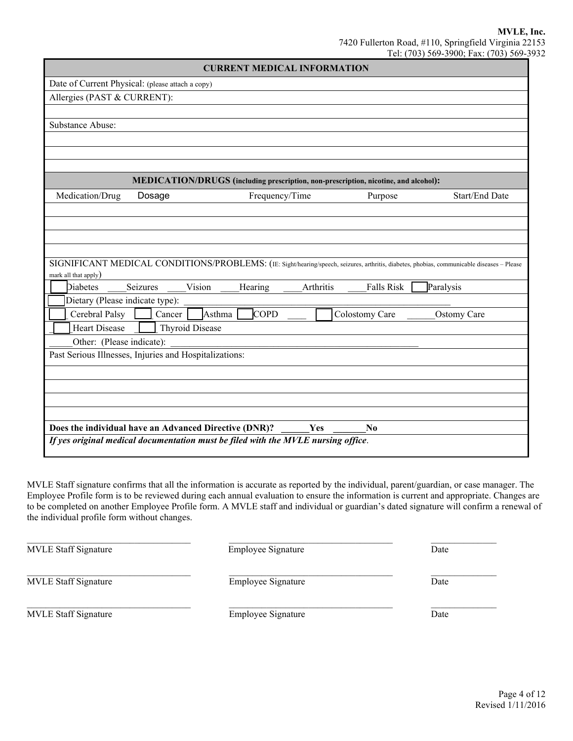| <b>CURRENT MEDICAL INFORMATION</b>                                                                                                         |                                                                                     |           |                   |                |
|--------------------------------------------------------------------------------------------------------------------------------------------|-------------------------------------------------------------------------------------|-----------|-------------------|----------------|
| Date of Current Physical: (please attach a copy)                                                                                           |                                                                                     |           |                   |                |
| Allergies (PAST & CURRENT):                                                                                                                |                                                                                     |           |                   |                |
|                                                                                                                                            |                                                                                     |           |                   |                |
| Substance Abuse:                                                                                                                           |                                                                                     |           |                   |                |
|                                                                                                                                            |                                                                                     |           |                   |                |
|                                                                                                                                            |                                                                                     |           |                   |                |
|                                                                                                                                            |                                                                                     |           |                   |                |
|                                                                                                                                            | MEDICATION/DRUGS (including prescription, non-prescription, nicotine, and alcohol): |           |                   |                |
| Medication/Drug<br>Dosage                                                                                                                  | Frequency/Time                                                                      |           | Purpose           | Start/End Date |
|                                                                                                                                            |                                                                                     |           |                   |                |
|                                                                                                                                            |                                                                                     |           |                   |                |
|                                                                                                                                            |                                                                                     |           |                   |                |
|                                                                                                                                            |                                                                                     |           |                   |                |
| SIGNIFICANT MEDICAL CONDITIONS/PROBLEMS: (IE: Sight/hearing/speech, seizures, arthritis, diabetes, phobias, communicable diseases - Please |                                                                                     |           |                   |                |
| mark all that apply)<br>Diabetes<br>Seizures                                                                                               | Vision<br>Hearing                                                                   | Arthritis | <b>Falls Risk</b> | Paralysis      |
| Dietary (Please indicate type):                                                                                                            |                                                                                     |           |                   |                |
| Cerebral Palsy<br>Cancer                                                                                                                   | <b>COPD</b><br>Asthma                                                               |           | Colostomy Care    | Ostomy Care    |
| <b>Heart Disease</b>                                                                                                                       | <b>Thyroid Disease</b>                                                              |           |                   |                |
| Other: (Please indicate):                                                                                                                  |                                                                                     |           |                   |                |
| Past Serious Illnesses, Injuries and Hospitalizations:                                                                                     |                                                                                     |           |                   |                |
|                                                                                                                                            |                                                                                     |           |                   |                |
|                                                                                                                                            |                                                                                     |           |                   |                |
|                                                                                                                                            |                                                                                     |           |                   |                |
|                                                                                                                                            |                                                                                     |           |                   |                |
| Does the individual have an Advanced Directive (DNR)?                                                                                      |                                                                                     | Yes       | N <sub>0</sub>    |                |
| If yes original medical documentation must be filed with the MVLE nursing office.                                                          |                                                                                     |           |                   |                |

MVLE Staff signature confirms that all the information is accurate as reported by the individual, parent/guardian, or case manager. The Employee Profile form is to be reviewed during each annual evaluation to ensure the information is current and appropriate. Changes are to be completed on another Employee Profile form. A MVLE staff and individual or guardian's dated signature will confirm a renewal of the individual profile form without changes.

| <b>MVLE Staff Signature</b> | Employee Signature | Date |
|-----------------------------|--------------------|------|
| <b>MVLE Staff Signature</b> | Employee Signature | Date |
| <b>MVLE Staff Signature</b> | Employee Signature | Date |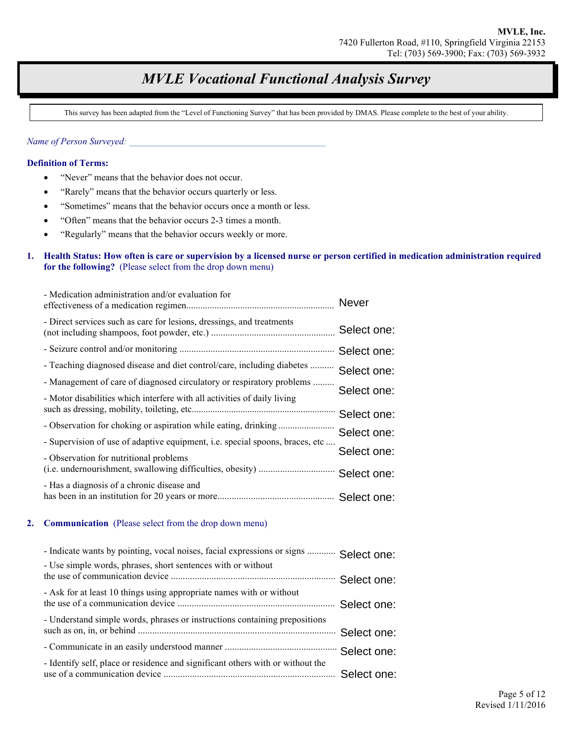# *MVLE Vocational Functional Analysis Survey*

This survey has been adapted from the "Level of Functioning Survey" that has been provided by DMAS. Please complete to the best of your ability.

*Name of Person Surveyed: \_\_\_\_\_\_\_\_\_\_\_\_\_\_\_\_\_\_\_\_\_\_\_\_\_\_\_\_\_\_\_\_\_\_\_\_\_\_\_\_\_\_* 

#### **Definition of Terms:**

- "Never" means that the behavior does not occur.
- "Rarely" means that the behavior occurs quarterly or less.
- "Sometimes" means that the behavior occurs once a month or less.
- "Often" means that the behavior occurs 2-3 times a month.
- "Regularly" means that the behavior occurs weekly or more.

#### **1. Health Status: How often is care or supervision by a licensed nurse or person certified in medication administration required for the following?** (Please select from the drop down menu)

| - Medication administration and/or evaluation for                            | <b>Never</b> |
|------------------------------------------------------------------------------|--------------|
| - Direct services such as care for lesions, dressings, and treatments        | Select one:  |
|                                                                              | Select one:  |
| - Teaching diagnosed disease and diet control/care, including diabetes       | Select one:  |
| - Management of care of diagnosed circulatory or respiratory problems        | Select one:  |
| - Motor disabilities which interfere with all activities of daily living     | Select one:  |
| - Observation for choking or aspiration while eating, drinking               | Select one:  |
| - Supervision of use of adaptive equipment, i.e. special spoons, braces, etc |              |
| - Observation for nutritional problems                                       | Select one:  |
|                                                                              | Select one:  |
| - Has a diagnosis of a chronic disease and                                   |              |

#### **2. Communication** (Please select from the drop down menu)

| - Indicate wants by pointing, vocal noises, facial expressions or signs  Select one: |  |
|--------------------------------------------------------------------------------------|--|
| - Use simple words, phrases, short sentences with or without                         |  |
|                                                                                      |  |
| - Ask for at least 10 things using appropriate names with or without                 |  |
|                                                                                      |  |
| - Understand simple words, phrases or instructions containing prepositions           |  |
|                                                                                      |  |
|                                                                                      |  |
| - Identify self, place or residence and significant others with or without the       |  |
|                                                                                      |  |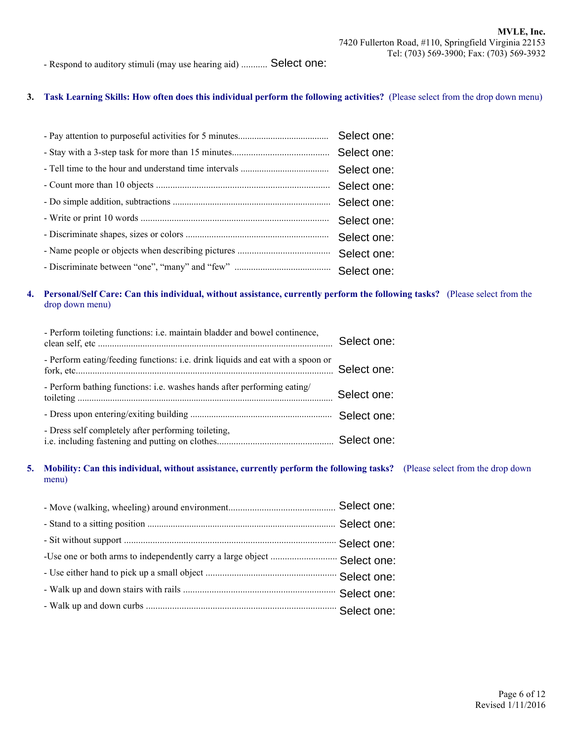- Respond to auditory stimuli (may use hearing aid) ........... Select one:

#### **3. Task Learning Skills: How often does this individual perform the following activities?** (Please select from the drop down menu)

| Select one: |
|-------------|
| Select one: |
| Select one: |
| Select one: |
| Select one: |
|             |

#### **4. Personal/Self Care: Can this individual, without assistance, currently perform the following tasks?** (Please select from the drop down menu)

| - Perform toileting functions: i.e. maintain bladder and bowel continence,     | Select one: |
|--------------------------------------------------------------------------------|-------------|
| - Perform eating/feeding functions: i.e. drink liquids and eat with a spoon or | Select one: |
| - Perform bathing functions: i.e. washes hands after performing eating/        | Select one: |
|                                                                                |             |
| - Dress self completely after performing toileting,                            |             |

#### **5. Mobility: Can this individual, without assistance, currently perform the following tasks?** (Please select from the drop down menu)

| -Use one or both arms to independently carry a large object  Select one: |  |
|--------------------------------------------------------------------------|--|
|                                                                          |  |
|                                                                          |  |
|                                                                          |  |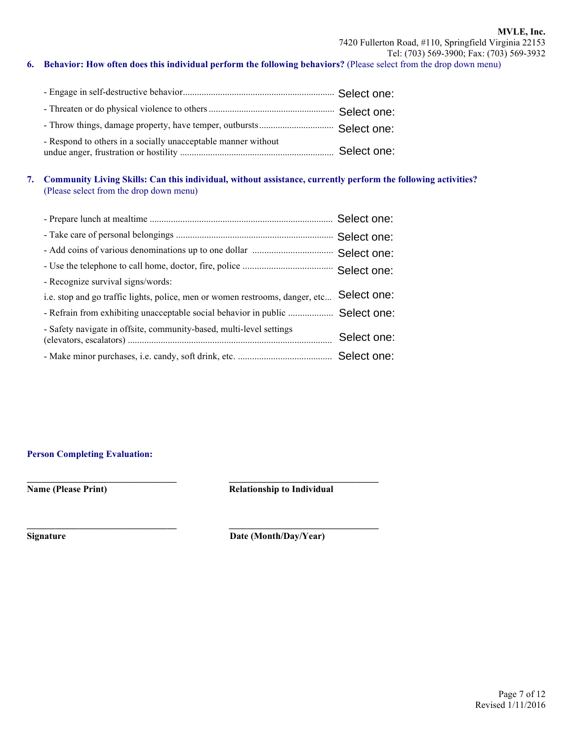#### **6. Behavior: How often does this individual perform the following behaviors?** (Please select from the drop down menu)

| - Respond to others in a socially unacceptable manner without |  |
|---------------------------------------------------------------|--|

#### **7. Community Living Skills: Can this individual, without assistance, currently perform the following activities?** (Please select from the drop down menu)

| - Recognize survival signs/words:                                             |             |
|-------------------------------------------------------------------------------|-------------|
| i.e. stop and go traffic lights, police, men or women restrooms, danger, etc  | Select one: |
| - Refrain from exhibiting unacceptable social behavior in public  Select one: |             |
| - Safety navigate in offsite, community-based, multi-level settings           | Select one: |
|                                                                               |             |

**\_\_\_\_\_\_\_\_\_\_\_\_\_\_\_\_\_\_\_\_\_\_\_\_\_\_\_\_\_\_\_\_ \_\_\_\_\_\_\_\_\_\_\_\_\_\_\_\_\_\_\_\_\_\_\_\_\_\_\_\_\_\_\_\_** 

**\_\_\_\_\_\_\_\_\_\_\_\_\_\_\_\_\_\_\_\_\_\_\_\_\_\_\_\_\_\_\_\_ \_\_\_\_\_\_\_\_\_\_\_\_\_\_\_\_\_\_\_\_\_\_\_\_\_\_\_\_\_\_\_\_**

#### **Person Completing Evaluation:**

**Name (Please Print) Relationship to Individual** 

**Signature** Date (Month/Day/Year)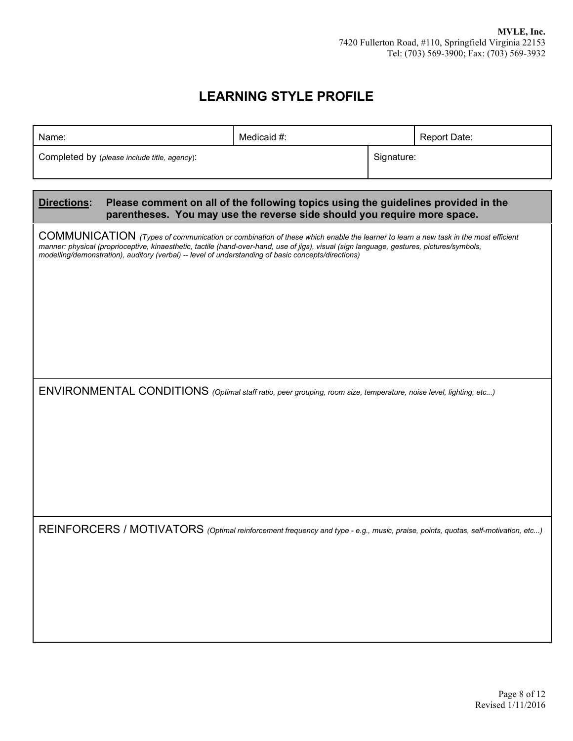# **LEARNING STYLE PROFILE**

| Name:                                                                                                                                                                                                                                                                                                                                                                                | Medicaid #:                                                                                                                                                    | Report Date: |  |
|--------------------------------------------------------------------------------------------------------------------------------------------------------------------------------------------------------------------------------------------------------------------------------------------------------------------------------------------------------------------------------------|----------------------------------------------------------------------------------------------------------------------------------------------------------------|--------------|--|
| Completed by (please include title, agency):                                                                                                                                                                                                                                                                                                                                         |                                                                                                                                                                | Signature:   |  |
|                                                                                                                                                                                                                                                                                                                                                                                      |                                                                                                                                                                |              |  |
| Directions:                                                                                                                                                                                                                                                                                                                                                                          | Please comment on all of the following topics using the guidelines provided in the<br>parentheses. You may use the reverse side should you require more space. |              |  |
| COMMUNICATION (Types of communication or combination of these which enable the learner to learn a new task in the most efficient<br>manner: physical (proprioceptive, kinaesthetic, tactile (hand-over-hand, use of jigs), visual (sign language, gestures, pictures/symbols,<br>modelling/demonstration), auditory (verbal) -- level of understanding of basic concepts/directions) |                                                                                                                                                                |              |  |
| ENVIRONMENTAL CONDITIONS (Optimal staff ratio, peer grouping, room size, temperature, noise level, lighting, etc)                                                                                                                                                                                                                                                                    |                                                                                                                                                                |              |  |
| REINFORCERS / MOTIVATORS (Optimal reinforcement frequency and type - e.g., music, praise, points, quotas, self-motivation, etc)                                                                                                                                                                                                                                                      |                                                                                                                                                                |              |  |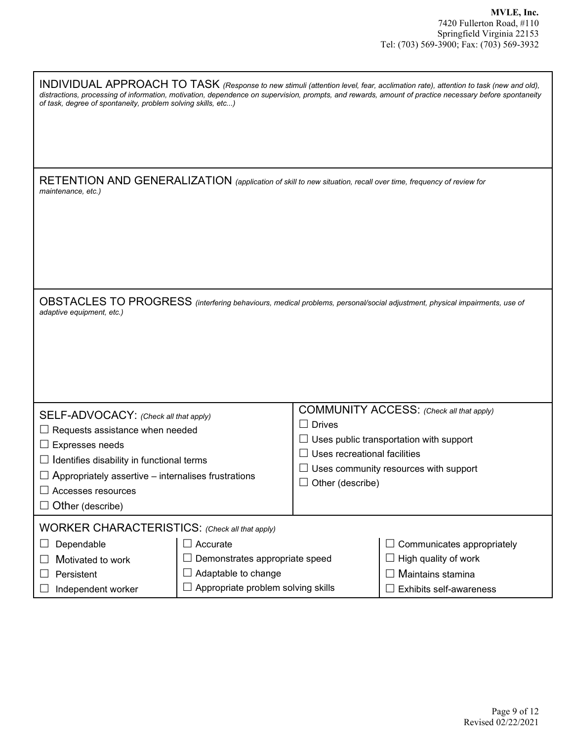| of task, degree of spontaneity, problem solving skills, etc)                                                                         |                                           |                              | INDIVIDUAL APPROACH TO TASK (Response to new stimuli (attention level, fear, acclimation rate), attention to task (new and old),<br>distractions, processing of information, motivation, dependence on supervision, prompts, and rewards, amount of practice necessary before spontaneity |
|--------------------------------------------------------------------------------------------------------------------------------------|-------------------------------------------|------------------------------|-------------------------------------------------------------------------------------------------------------------------------------------------------------------------------------------------------------------------------------------------------------------------------------------|
|                                                                                                                                      |                                           |                              |                                                                                                                                                                                                                                                                                           |
| RETENTION AND GENERALIZATION (application of skill to new situation, recall over time, frequency of review for<br>maintenance, etc.) |                                           |                              |                                                                                                                                                                                                                                                                                           |
|                                                                                                                                      |                                           |                              |                                                                                                                                                                                                                                                                                           |
| adaptive equipment, etc.)                                                                                                            |                                           |                              | OBSTACLES TO PROGRESS (interfering behaviours, medical problems, personal/social adjustment, physical impairments, use of                                                                                                                                                                 |
|                                                                                                                                      |                                           |                              | COMMUNITY ACCESS: (Check all that apply)                                                                                                                                                                                                                                                  |
| SELF-ADVOCACY: (Check all that apply)                                                                                                |                                           | $\Box$ Drives                |                                                                                                                                                                                                                                                                                           |
| $\Box$ Requests assistance when needed                                                                                               |                                           |                              | $\Box$ Uses public transportation with support                                                                                                                                                                                                                                            |
| $\Box$ Expresses needs                                                                                                               |                                           |                              |                                                                                                                                                                                                                                                                                           |
| $\Box$ Identifies disability in functional terms                                                                                     |                                           | Uses recreational facilities |                                                                                                                                                                                                                                                                                           |
| $\Box$ Appropriately assertive – internalises frustrations                                                                           |                                           |                              | Uses community resources with support                                                                                                                                                                                                                                                     |
|                                                                                                                                      |                                           | Other (describe)             |                                                                                                                                                                                                                                                                                           |
| Accesses resources                                                                                                                   |                                           |                              |                                                                                                                                                                                                                                                                                           |
| $\Box$ Other (describe)                                                                                                              |                                           |                              |                                                                                                                                                                                                                                                                                           |
| WORKER CHARACTERISTICS: (Check all that apply)                                                                                       |                                           |                              |                                                                                                                                                                                                                                                                                           |
| Dependable                                                                                                                           | $\Box$ Accurate                           |                              | Communicates appropriately                                                                                                                                                                                                                                                                |
| Motivated to work                                                                                                                    | Demonstrates appropriate speed            |                              | High quality of work                                                                                                                                                                                                                                                                      |
|                                                                                                                                      |                                           |                              |                                                                                                                                                                                                                                                                                           |
| Persistent                                                                                                                           | Adaptable to change                       |                              | Maintains stamina                                                                                                                                                                                                                                                                         |
| Independent worker                                                                                                                   | $\Box$ Appropriate problem solving skills |                              | Exhibits self-awareness                                                                                                                                                                                                                                                                   |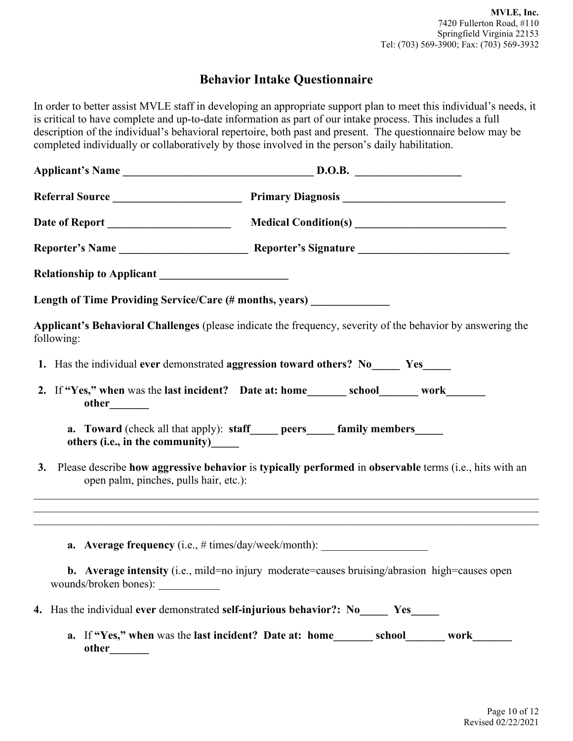## **Behavior Intake Questionnaire**

In order to better assist MVLE staff in developing an appropriate support plan to meet this individual's needs, it is critical to have complete and up-to-date information as part of our intake process. This includes a full description of the individual's behavioral repertoire, both past and present. The questionnaire below may be completed individually or collaboratively by those involved in the person's daily habilitation.

|                                        | Length of Time Providing Service/Care (# months, years) ______________                                                                                                      |  |
|----------------------------------------|-----------------------------------------------------------------------------------------------------------------------------------------------------------------------------|--|
| following:                             | Applicant's Behavioral Challenges (please indicate the frequency, severity of the behavior by answering the                                                                 |  |
|                                        | 1. Has the individual ever demonstrated aggression toward others? No ______ Yes                                                                                             |  |
| other_______                           | 2. If "Yes," when was the last incident? Date at: home_________ school________ work________                                                                                 |  |
| others (i.e., in the community)______  | a. Toward (check all that apply): staff_____ peers_____ family members_____                                                                                                 |  |
| open palm, pinches, pulls hair, etc.): | 3. Please describe how aggressive behavior is typically performed in observable terms (i.e., hits with an                                                                   |  |
|                                        | ,我们也不能在这里的时候,我们也不能在这里的时候,我们也不能会在这里的时候,我们也不能会在这里的时候,我们也不能会在这里的时候,我们也不能会在这里的时候,我们也不<br><b>a.</b> Average frequency (i.e., # times/day/week/month): __________________________ |  |
| wounds/broken bones):                  | <b>b.</b> Average intensity (i.e., mild=no injury moderate=causes bruising/abrasion high=causes open                                                                        |  |
|                                        | 4. Has the individual ever demonstrated self-injurious behavior?: Now Yes                                                                                                   |  |
|                                        | a. If "Yes," when was the last incident? Date at: home________ school_______ work_______                                                                                    |  |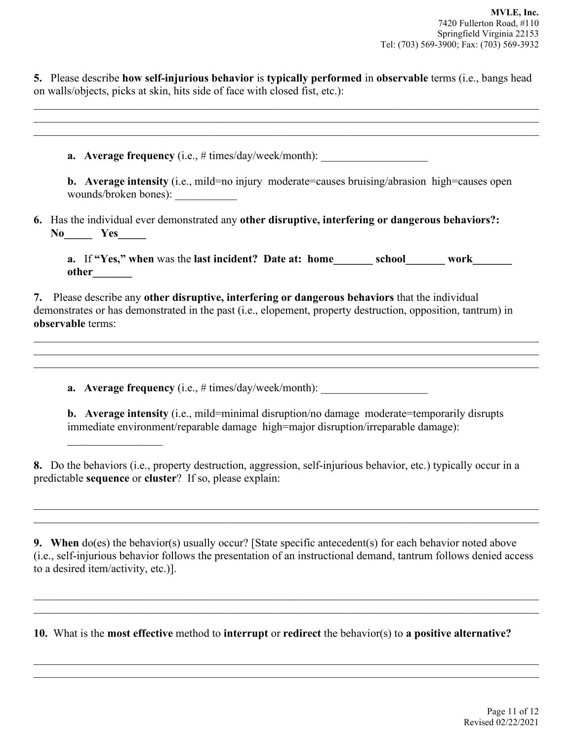**5.** Please describe **how self-injurious behavior** is **typically performed** in **observable** terms (i.e., bangs head on walls/objects, picks at skin, hits side of face with closed fist, etc.):

 $\mathcal{L}_\mathcal{L} = \mathcal{L}_\mathcal{L} = \mathcal{L}_\mathcal{L} = \mathcal{L}_\mathcal{L} = \mathcal{L}_\mathcal{L} = \mathcal{L}_\mathcal{L} = \mathcal{L}_\mathcal{L} = \mathcal{L}_\mathcal{L} = \mathcal{L}_\mathcal{L} = \mathcal{L}_\mathcal{L} = \mathcal{L}_\mathcal{L} = \mathcal{L}_\mathcal{L} = \mathcal{L}_\mathcal{L} = \mathcal{L}_\mathcal{L} = \mathcal{L}_\mathcal{L} = \mathcal{L}_\mathcal{L} = \mathcal{L}_\mathcal{L}$ 

| <b>b.</b> Average intensity (i.e., mild=no injury moderate=causes bruising/abrasion high=causes open<br>wounds/broken bones):                                                                                                                                                                                             |
|---------------------------------------------------------------------------------------------------------------------------------------------------------------------------------------------------------------------------------------------------------------------------------------------------------------------------|
| 6. Has the individual ever demonstrated any other disruptive, interfering or dangerous behaviors?:<br>$No$ $Yes$ $\qquad$                                                                                                                                                                                                 |
| a. If "Yes," when was the last incident? Date at: home________ school________ work_______                                                                                                                                                                                                                                 |
|                                                                                                                                                                                                                                                                                                                           |
| 7. Please describe any other disruptive, interfering or dangerous behaviors that the individual<br>demonstrates or has demonstrated in the past (i.e., elopement, property destruction, opposition, tantrum) in<br>observable terms:<br>,我们也不能在这里的人,我们也不能在这里的人,我们也不能在这里的人,我们也不能在这里的人,我们也不能在这里的人,我们也不能在这里的人,我们也不能在这里的人,我们也 |
| <u> 1989 - Johann Stoff, amerikansk politiker (d. 1989)</u>                                                                                                                                                                                                                                                               |

**9. When** do(es) the behavior(s) usually occur? [State specific antecedent(s) for each behavior noted above (i.e., self-injurious behavior follows the presentation of an instructional demand, tantrum follows denied access to a desired item/activity, etc.)].

 $\mathcal{L}_\mathcal{L} = \{ \mathcal{L}_\mathcal{L} = \{ \mathcal{L}_\mathcal{L} = \{ \mathcal{L}_\mathcal{L} = \{ \mathcal{L}_\mathcal{L} = \{ \mathcal{L}_\mathcal{L} = \{ \mathcal{L}_\mathcal{L} = \{ \mathcal{L}_\mathcal{L} = \{ \mathcal{L}_\mathcal{L} = \{ \mathcal{L}_\mathcal{L} = \{ \mathcal{L}_\mathcal{L} = \{ \mathcal{L}_\mathcal{L} = \{ \mathcal{L}_\mathcal{L} = \{ \mathcal{L}_\mathcal{L} = \{ \mathcal{L}_\mathcal{$  $\mathcal{L}_\mathcal{L} = \{ \mathcal{L}_\mathcal{L} = \{ \mathcal{L}_\mathcal{L} = \{ \mathcal{L}_\mathcal{L} = \{ \mathcal{L}_\mathcal{L} = \{ \mathcal{L}_\mathcal{L} = \{ \mathcal{L}_\mathcal{L} = \{ \mathcal{L}_\mathcal{L} = \{ \mathcal{L}_\mathcal{L} = \{ \mathcal{L}_\mathcal{L} = \{ \mathcal{L}_\mathcal{L} = \{ \mathcal{L}_\mathcal{L} = \{ \mathcal{L}_\mathcal{L} = \{ \mathcal{L}_\mathcal{L} = \{ \mathcal{L}_\mathcal{$ 

 $\mathcal{L}_\mathcal{L} = \{ \mathcal{L}_\mathcal{L} = \{ \mathcal{L}_\mathcal{L} = \{ \mathcal{L}_\mathcal{L} = \{ \mathcal{L}_\mathcal{L} = \{ \mathcal{L}_\mathcal{L} = \{ \mathcal{L}_\mathcal{L} = \{ \mathcal{L}_\mathcal{L} = \{ \mathcal{L}_\mathcal{L} = \{ \mathcal{L}_\mathcal{L} = \{ \mathcal{L}_\mathcal{L} = \{ \mathcal{L}_\mathcal{L} = \{ \mathcal{L}_\mathcal{L} = \{ \mathcal{L}_\mathcal{L} = \{ \mathcal{L}_\mathcal{$ 

 $\mathcal{L}_\mathcal{L} = \{ \mathcal{L}_\mathcal{L} = \{ \mathcal{L}_\mathcal{L} = \{ \mathcal{L}_\mathcal{L} = \{ \mathcal{L}_\mathcal{L} = \{ \mathcal{L}_\mathcal{L} = \{ \mathcal{L}_\mathcal{L} = \{ \mathcal{L}_\mathcal{L} = \{ \mathcal{L}_\mathcal{L} = \{ \mathcal{L}_\mathcal{L} = \{ \mathcal{L}_\mathcal{L} = \{ \mathcal{L}_\mathcal{L} = \{ \mathcal{L}_\mathcal{L} = \{ \mathcal{L}_\mathcal{L} = \{ \mathcal{L}_\mathcal{$ 

**10.** What is the **most effective** method to **interrupt** or **redirect** the behavior(s) to **a positive alternative?**